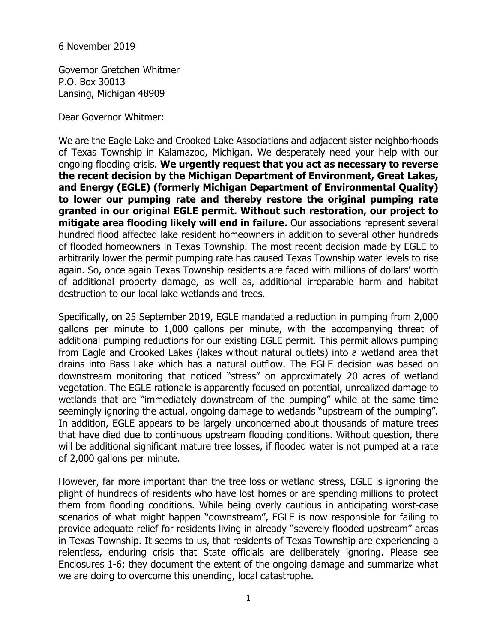6 November 2019

Governor Gretchen Whitmer P.O. Box 30013 Lansing, Michigan 48909

Dear Governor Whitmer:

We are the Eagle Lake and Crooked Lake Associations and adjacent sister neighborhoods of Texas Township in Kalamazoo, Michigan. We desperately need your help with our ongoing flooding crisis. **We urgently request that you act as necessary to reverse the recent decision by the Michigan Department of Environment, Great Lakes, and Energy (EGLE) (formerly Michigan Department of Environmental Quality) to lower our pumping rate and thereby restore the original pumping rate granted in our original EGLE permit. Without such restoration, our project to mitigate area flooding likely will end in failure.** Our associations represent several hundred flood affected lake resident homeowners in addition to several other hundreds of flooded homeowners in Texas Township. The most recent decision made by EGLE to arbitrarily lower the permit pumping rate has caused Texas Township water levels to rise again. So, once again Texas Township residents are faced with millions of dollars' worth of additional property damage, as well as, additional irreparable harm and habitat destruction to our local lake wetlands and trees.

Specifically, on 25 September 2019, EGLE mandated a reduction in pumping from 2,000 gallons per minute to 1,000 gallons per minute, with the accompanying threat of additional pumping reductions for our existing EGLE permit. This permit allows pumping from Eagle and Crooked Lakes (lakes without natural outlets) into a wetland area that drains into Bass Lake which has a natural outflow. The EGLE decision was based on downstream monitoring that noticed "stress" on approximately 20 acres of wetland vegetation. The EGLE rationale is apparently focused on potential, unrealized damage to wetlands that are "immediately downstream of the pumping" while at the same time seemingly ignoring the actual, ongoing damage to wetlands "upstream of the pumping". In addition, EGLE appears to be largely unconcerned about thousands of mature trees that have died due to continuous upstream flooding conditions. Without question, there will be additional significant mature tree losses, if flooded water is not pumped at a rate of 2,000 gallons per minute.

However, far more important than the tree loss or wetland stress, EGLE is ignoring the plight of hundreds of residents who have lost homes or are spending millions to protect them from flooding conditions. While being overly cautious in anticipating worst-case scenarios of what might happen "downstream", EGLE is now responsible for failing to provide adequate relief for residents living in already "severely flooded upstream" areas in Texas Township. It seems to us, that residents of Texas Township are experiencing a relentless, enduring crisis that State officials are deliberately ignoring. Please see Enclosures 1-6; they document the extent of the ongoing damage and summarize what we are doing to overcome this unending, local catastrophe.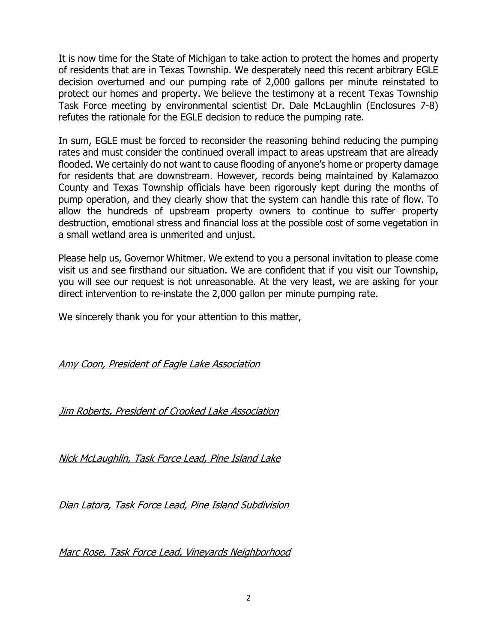It is now time for the State of Michigan to take action to protect the homes and property of residents that are in Texas Township. We desperately need this recent arbitrary EGLE decision overturned and our pumping rate of 2,000 gallons per minute reinstated to protect our homes and property. We believe the testimony at a recent Texas Township Task Force meeting by environmental scientist Dr. Dale McLaughlin (Enclosures 7-8) refutes the rationale for the EGLE decision to reduce the pumping rate.

In sum, EGLE must be forced to reconsider the reasoning behind reducing the pumping rates and must consider the continued overall impact to areas upstream that are already flooded. We certainly do not want to cause flooding of anyone's home or property damage for residents that are downstream. However, records being maintained by Kalamazoo County and Texas Township officials have been rigorously kept during the months of pump operation, and they clearly show that the system can handle this rate of flow. To allow the hundreds of upstream property owners to continue to suffer property destruction, emotional stress and financial loss at the possible cost of some vegetation in a small wetland area is unmerited and unjust.

Please help us, Governor Whitmer. We extend to you a personal invitation to please come visit us and see firsthand our situation. We are confident that if you visit our Township, you will see our request is not unreasonable. At the very least, we are asking for your direct intervention to re-instate the 2,000 gallon per minute pumping rate.

We sincerely thank you for your attention to this matter,

Amy Coon, President of Eagle Lake Association

Jim Roberts, President of Crooked Lake Association

Nick McLaughlin, Task Force Lead, Pine Island Lake

Dian Latora, Task Force Lead, Pine Island Subdivision

Marc Rose, Task Force Lead, Vineyards Neighborhood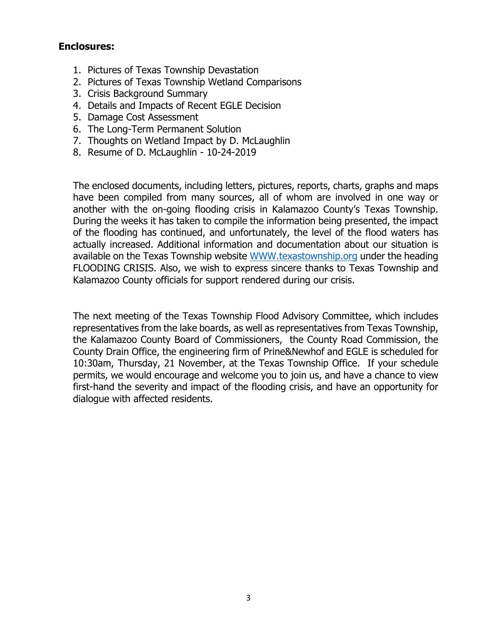# **Enclosures:**

- 1. Pictures of Texas Township Devastation
- 2. Pictures of Texas Township Wetland Comparisons
- 3. Crisis Background Summary
- 4. Details and Impacts of Recent EGLE Decision
- 5. Damage Cost Assessment
- 6. The Long-Term Permanent Solution
- 7. Thoughts on Wetland Impact by D. McLaughlin
- 8. Resume of D. McLaughlin 10-24-2019

The enclosed documents, including letters, pictures, reports, charts, graphs and maps have been compiled from many sources, all of whom are involved in one way or another with the on-going flooding crisis in Kalamazoo County's Texas Township. During the weeks it has taken to compile the information being presented, the impact of the flooding has continued, and unfortunately, the level of the flood waters has actually increased. Additional information and documentation about our situation is available on the Texas Township website WWW.texastownship.org under the heading FLOODING CRISIS. Also, we wish to express sincere thanks to Texas Township and Kalamazoo County officials for support rendered during our crisis.

The next meeting of the Texas Township Flood Advisory Committee, which includes representatives from the lake boards, as well as representatives from Texas Township, the Kalamazoo County Board of Commissioners, the County Road Commission, the County Drain Office, the engineering firm of Prine&Newhof and EGLE is scheduled for 10:30am, Thursday, 21 November, at the Texas Township Office. If your schedule permits, we would encourage and welcome you to join us, and have a chance to view first-hand the severity and impact of the flooding crisis, and have an opportunity for dialogue with affected residents.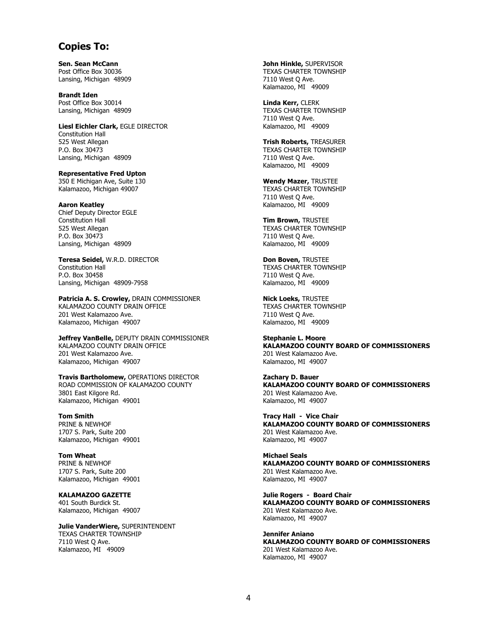## **Copies To:**

**Sen. Sean McCann** Post Office Box 30036 Lansing, Michigan 48909

**Brandt Iden**  Post Office Box 30014 Lansing, Michigan 48909

**Liesl Eichler Clark,** EGLE DIRECTOR Constitution Hall 525 West Allegan P.O. Box 30473 Lansing, Michigan 48909

**Representative Fred Upton** 350 E Michigan Ave, Suite 130 Kalamazoo, Michigan 49007

**Aaron Keatley** Chief Deputy Director EGLE Constitution Hall 525 West Allegan P.O. Box 30473 Lansing, Michigan 48909

**Teresa Seidel,** W.R.D. DIRECTOR Constitution Hall P.O. Box 30458 Lansing, Michigan 48909-7958

**Patricia A. S. Crowley,** DRAIN COMMISSIONER KALAMAZOO COUNTY DRAIN OFFICE 201 West Kalamazoo Ave. Kalamazoo, Michigan 49007

**Jeffrey VanBelle,** DEPUTY DRAIN COMMISSIONER KALAMAZOO COUNTY DRAIN OFFICE 201 West Kalamazoo Ave. Kalamazoo, Michigan 49007

**Travis Bartholomew,** OPERATIONS DIRECTOR ROAD COMMISSION OF KALAMAZOO COUNTY 3801 East Kilgore Rd. Kalamazoo, Michigan 49001

**Tom Smith** PRINE & NEWHOF 1707 S. Park, Suite 200 Kalamazoo, Michigan 49001

**Tom Wheat** PRINE & NEWHOF 1707 S. Park, Suite 200 Kalamazoo, Michigan 49001

**KALAMAZOO GAZETTE** 401 South Burdick St. Kalamazoo, Michigan 49007

**Julie VanderWiere,** SUPERINTENDENT TEXAS CHARTER TOWNSHIP 7110 West Q Ave. Kalamazoo, MI 49009

**John Hinkle,** SUPERVISOR TEXAS CHARTER TOWNSHIP 7110 West Q Ave. Kalamazoo, MI 49009

**Linda Kerr,** CLERK TEXAS CHARTER TOWNSHIP 7110 West Q Ave. Kalamazoo, MI 49009

**Trish Roberts,** TREASURER TEXAS CHARTER TOWNSHIP 7110 West Q Ave. Kalamazoo, MI 49009

**Wendy Mazer,** TRUSTEE TEXAS CHARTER TOWNSHIP 7110 West Q Ave. Kalamazoo, MI 49009

**Tim Brown,** TRUSTEE TEXAS CHARTER TOWNSHIP 7110 West Q Ave. Kalamazoo, MI 49009

**Don Boven,** TRUSTEE TEXAS CHARTER TOWNSHIP 7110 West Q Ave. Kalamazoo, MI 49009

**Nick Loeks,** TRUSTEE TEXAS CHARTER TOWNSHIP 7110 West Q Ave. Kalamazoo, MI 49009

**Stephanie L. Moore KALAMAZOO COUNTY BOARD OF COMMISSIONERS** 201 West Kalamazoo Ave. Kalamazoo, MI 49007

**Zachary D. Bauer KALAMAZOO COUNTY BOARD OF COMMISSIONERS** 201 West Kalamazoo Ave. Kalamazoo, MI 49007

**Tracy Hall - Vice Chair KALAMAZOO COUNTY BOARD OF COMMISSIONERS** 201 West Kalamazoo Ave. Kalamazoo, MI 49007

**Michael Seals KALAMAZOO COUNTY BOARD OF COMMISSIONERS** 201 West Kalamazoo Ave. Kalamazoo, MI 49007

**Julie Rogers - Board Chair KALAMAZOO COUNTY BOARD OF COMMISSIONERS** 201 West Kalamazoo Ave. Kalamazoo, MI 49007

**Jennifer Aniano KALAMAZOO COUNTY BOARD OF COMMISSIONERS** 201 West Kalamazoo Ave. Kalamazoo, MI 49007